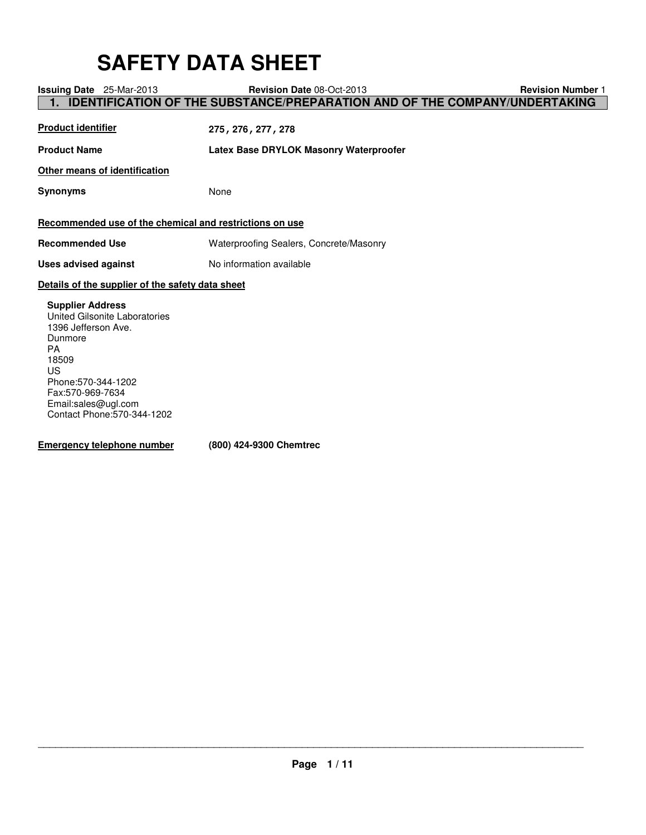# **SAFETY DATA SHEET**

| <b>Issuing Date</b> 25-Mar-2013                                                                                                                                                                                         | <b>Revision Date 08-Oct-2013</b>                                                  | <b>Revision Number 1</b> |
|-------------------------------------------------------------------------------------------------------------------------------------------------------------------------------------------------------------------------|-----------------------------------------------------------------------------------|--------------------------|
|                                                                                                                                                                                                                         | <b>IDENTIFICATION OF THE SUBSTANCE/PREPARATION AND OF THE COMPANY/UNDERTAKING</b> |                          |
| <b>Product identifier</b>                                                                                                                                                                                               | 275, 276, 277, 278                                                                |                          |
| <b>Product Name</b>                                                                                                                                                                                                     | Latex Base DRYLOK Masonry Waterproofer                                            |                          |
| Other means of identification                                                                                                                                                                                           |                                                                                   |                          |
| <b>Synonyms</b>                                                                                                                                                                                                         | None                                                                              |                          |
| Recommended use of the chemical and restrictions on use                                                                                                                                                                 |                                                                                   |                          |
| <b>Recommended Use</b>                                                                                                                                                                                                  | Waterproofing Sealers, Concrete/Masonry                                           |                          |
| <b>Uses advised against</b>                                                                                                                                                                                             | No information available                                                          |                          |
| Details of the supplier of the safety data sheet                                                                                                                                                                        |                                                                                   |                          |
| <b>Supplier Address</b><br>United Gilsonite Laboratories<br>1396 Jefferson Ave.<br>Dunmore<br><b>PA</b><br>18509<br>US<br>Phone: 570-344-1202<br>Fax:570-969-7634<br>Email:sales@ugl.com<br>Contact Phone: 570-344-1202 |                                                                                   |                          |

**Emergency telephone number (800) 424-9300 Chemtrec**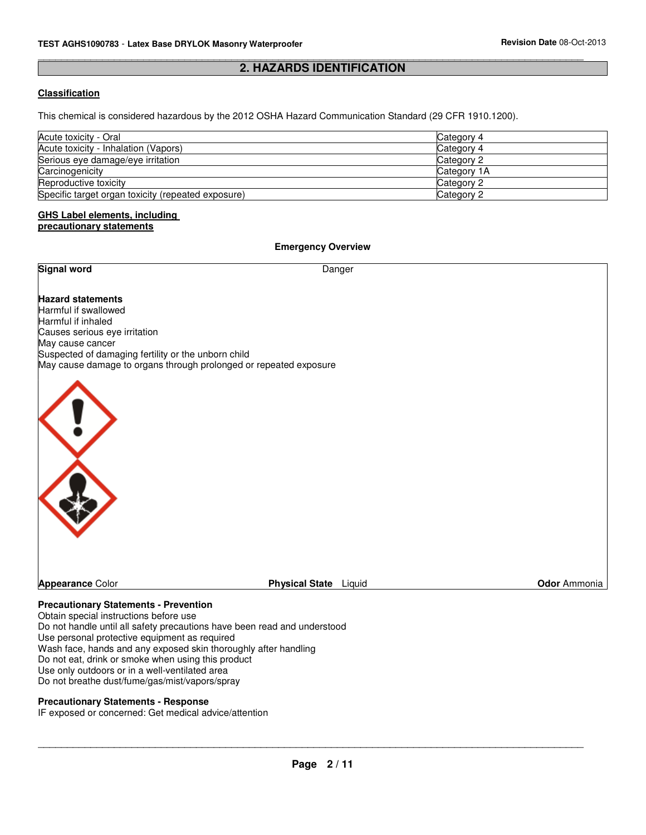#### \_\_\_\_\_\_\_\_\_\_\_\_\_\_\_\_\_\_\_\_\_\_\_\_\_\_\_\_\_\_\_\_\_\_\_\_\_\_\_\_\_\_\_\_\_\_\_\_\_\_\_\_\_\_\_\_\_\_\_\_\_\_\_\_\_\_\_\_\_\_\_\_\_\_\_\_\_\_\_\_\_\_\_\_\_\_\_\_\_\_\_\_\_ **2. HAZARDS IDENTIFICATION**

## **Classification**

This chemical is considered hazardous by the 2012 OSHA Hazard Communication Standard (29 CFR 1910.1200).

| Acute toxicity - Oral                              | Category 4  |
|----------------------------------------------------|-------------|
| Acute toxicity - Inhalation (Vapors)               | Category 4  |
| Serious eye damage/eye irritation                  | Category 2  |
| Carcinogenicity                                    | Category 1A |
| Reproductive toxicity                              | Category 2  |
| Specific target organ toxicity (repeated exposure) | Category 2  |

#### **GHS Label elements, including precautionary statements**

#### **Emergency Overview**

| <b>Signal word</b>                                                                                                                                                                                                                                      | Danger                       |              |
|---------------------------------------------------------------------------------------------------------------------------------------------------------------------------------------------------------------------------------------------------------|------------------------------|--------------|
| <b>Hazard statements</b><br>Harmful if swallowed<br>Harmful if inhaled<br>Causes serious eye irritation<br>May cause cancer<br>Suspected of damaging fertility or the unborn child<br>May cause damage to organs through prolonged or repeated exposure |                              |              |
|                                                                                                                                                                                                                                                         |                              |              |
|                                                                                                                                                                                                                                                         |                              |              |
| <b>Appearance Color</b><br><b>Precautionary Statements - Prevention</b><br>Obtain special instructions before use                                                                                                                                       | <b>Physical State</b> Liquid | Odor Ammonia |

Do not handle until all safety precautions have been read and understood Use personal protective equipment as required Wash face, hands and any exposed skin thoroughly after handling Do not eat, drink or smoke when using this product Use only outdoors or in a well-ventilated area Do not breathe dust/fume/gas/mist/vapors/spray

#### **Precautionary Statements - Response**

IF exposed or concerned: Get medical advice/attention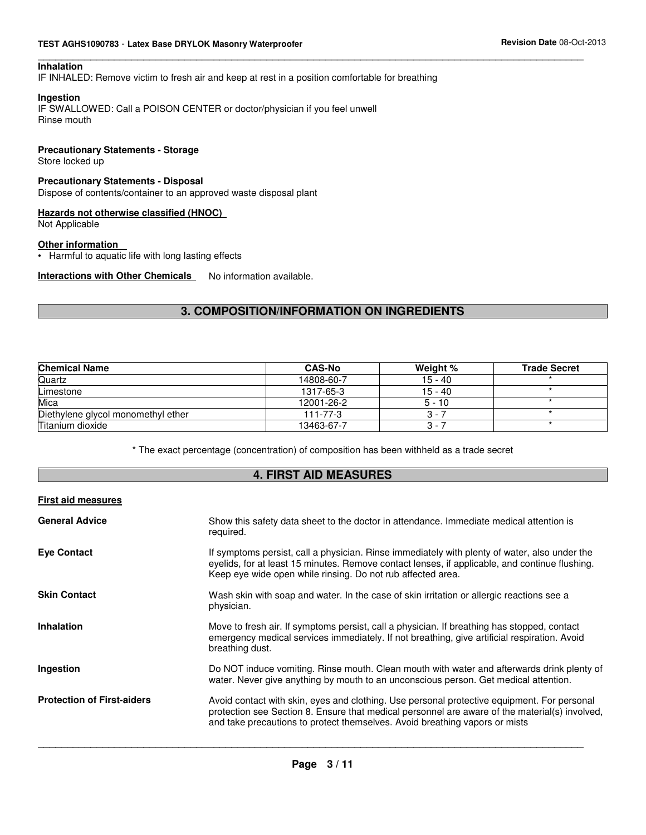#### **TEST AGHS1090783** - **Latex Base DRYLOK Masonry Waterproofer Revision Date** 08-Oct-2013

#### **Inhalation**

IF INHALED: Remove victim to fresh air and keep at rest in a position comfortable for breathing

#### **Ingestion**

IF SWALLOWED: Call a POISON CENTER or doctor/physician if you feel unwell Rinse mouth

#### **Precautionary Statements - Storage**

Store locked up

#### **Precautionary Statements - Disposal**

Dispose of contents/container to an approved waste disposal plant

#### **Hazards not otherwise classified (HNOC)**

Not Applicable

#### **Other information**

• Harmful to aquatic life with long lasting effects

**Interactions with Other Chemicals** No information available.

## **3. COMPOSITION/INFORMATION ON INGREDIENTS**

\_\_\_\_\_\_\_\_\_\_\_\_\_\_\_\_\_\_\_\_\_\_\_\_\_\_\_\_\_\_\_\_\_\_\_\_\_\_\_\_\_\_\_\_\_\_\_\_\_\_\_\_\_\_\_\_\_\_\_\_\_\_\_\_\_\_\_\_\_\_\_\_\_\_\_\_\_\_\_\_\_\_\_\_\_\_\_\_\_\_\_\_\_

| <b>Chemical Name</b>               | <b>CAS-No</b>  | Weight %  | <b>Trade Secret</b> |
|------------------------------------|----------------|-----------|---------------------|
| Quartz                             | 14808-60-7     | $15 - 40$ |                     |
| Limestone                          | 1317-65-3      | 15 - 40   |                     |
| Mica                               | 12001-26-2     | $5 - 10$  |                     |
| Diethylene glycol monomethyl ether | $111 - 77 - 3$ | $3 - i$   |                     |
| Titanium dioxide                   | 13463-67-7     | $3 - 7$   |                     |

\* The exact percentage (concentration) of composition has been withheld as a trade secret

## **4. FIRST AID MEASURES**

#### **First aid measures**

| <b>General Advice</b>             | Show this safety data sheet to the doctor in attendance. Immediate medical attention is<br>required.                                                                                                                                                                         |
|-----------------------------------|------------------------------------------------------------------------------------------------------------------------------------------------------------------------------------------------------------------------------------------------------------------------------|
| <b>Eye Contact</b>                | If symptoms persist, call a physician. Rinse immediately with plenty of water, also under the<br>eyelids, for at least 15 minutes. Remove contact lenses, if applicable, and continue flushing.<br>Keep eye wide open while rinsing. Do not rub affected area.               |
| <b>Skin Contact</b>               | Wash skin with soap and water. In the case of skin irritation or allergic reactions see a<br>physician.                                                                                                                                                                      |
| <b>Inhalation</b>                 | Move to fresh air. If symptoms persist, call a physician. If breathing has stopped, contact<br>emergency medical services immediately. If not breathing, give artificial respiration. Avoid<br>breathing dust.                                                               |
| Ingestion                         | Do NOT induce vomiting. Rinse mouth. Clean mouth with water and afterwards drink plenty of<br>water. Never give anything by mouth to an unconscious person. Get medical attention.                                                                                           |
| <b>Protection of First-aiders</b> | Avoid contact with skin, eyes and clothing. Use personal protective equipment. For personal<br>protection see Section 8. Ensure that medical personnel are aware of the material(s) involved,<br>and take precautions to protect themselves. Avoid breathing vapors or mists |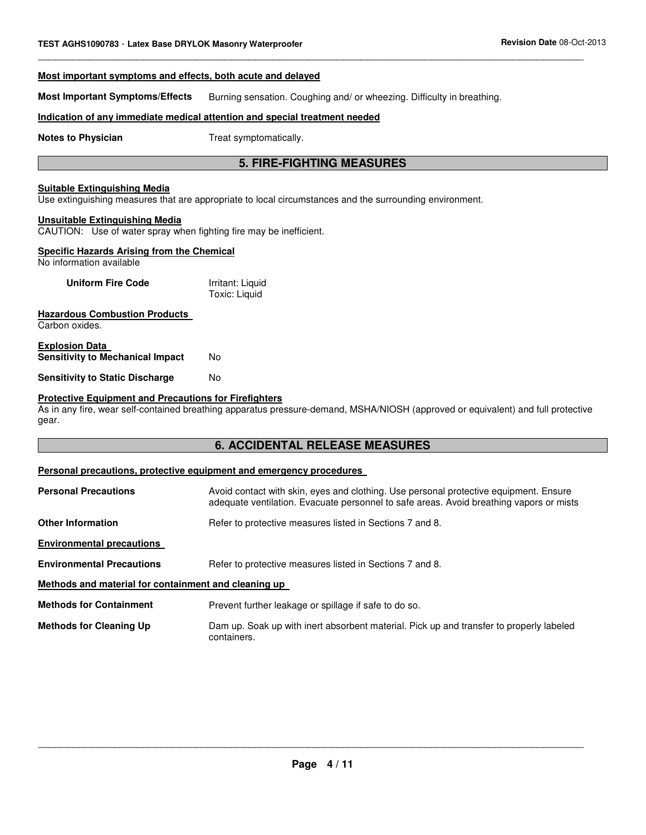## **Most important symptoms and effects, both acute and delayed Most Important Symptoms/Effects** Burning sensation. Coughing and/ or wheezing. Difficulty in breathing. **Indication of any immediate medical attention and special treatment needed Notes to Physician** Treat symptomatically. **5. FIRE-FIGHTING MEASURES Suitable Extinguishing Media** Use extinguishing measures that are appropriate to local circumstances and the surrounding environment. **Unsuitable Extinguishing Media** CAUTION: Use of water spray when fighting fire may be inefficient. **Specific Hazards Arising from the Chemical** No information available **Uniform Fire Code** Irritant: Liquid Toxic: Liquid **Hazardous Combustion Products**  Carbon oxides. **Explosion Data Sensitivity to Mechanical Impact No Sensitivity to Static Discharge Moments Protective Equipment and Precautions for Firefighters** As in any fire, wear self-contained breathing apparatus pressure-demand, MSHA/NIOSH (approved or equivalent) and full protective gear.

\_\_\_\_\_\_\_\_\_\_\_\_\_\_\_\_\_\_\_\_\_\_\_\_\_\_\_\_\_\_\_\_\_\_\_\_\_\_\_\_\_\_\_\_\_\_\_\_\_\_\_\_\_\_\_\_\_\_\_\_\_\_\_\_\_\_\_\_\_\_\_\_\_\_\_\_\_\_\_\_\_\_\_\_\_\_\_\_\_\_\_\_\_

## **6. ACCIDENTAL RELEASE MEASURES**

## **Personal precautions, protective equipment and emergency procedures**

| <b>Personal Precautions</b>                          | Avoid contact with skin, eyes and clothing. Use personal protective equipment. Ensure<br>adequate ventilation. Evacuate personnel to safe areas. Avoid breathing vapors or mists |
|------------------------------------------------------|----------------------------------------------------------------------------------------------------------------------------------------------------------------------------------|
| <b>Other Information</b>                             | Refer to protective measures listed in Sections 7 and 8.                                                                                                                         |
| <b>Environmental precautions</b>                     |                                                                                                                                                                                  |
| <b>Environmental Precautions</b>                     | Refer to protective measures listed in Sections 7 and 8.                                                                                                                         |
| Methods and material for containment and cleaning up |                                                                                                                                                                                  |
| <b>Methods for Containment</b>                       | Prevent further leakage or spillage if safe to do so.                                                                                                                            |
| <b>Methods for Cleaning Up</b>                       | Dam up. Soak up with inert absorbent material. Pick up and transfer to properly labeled<br>containers.                                                                           |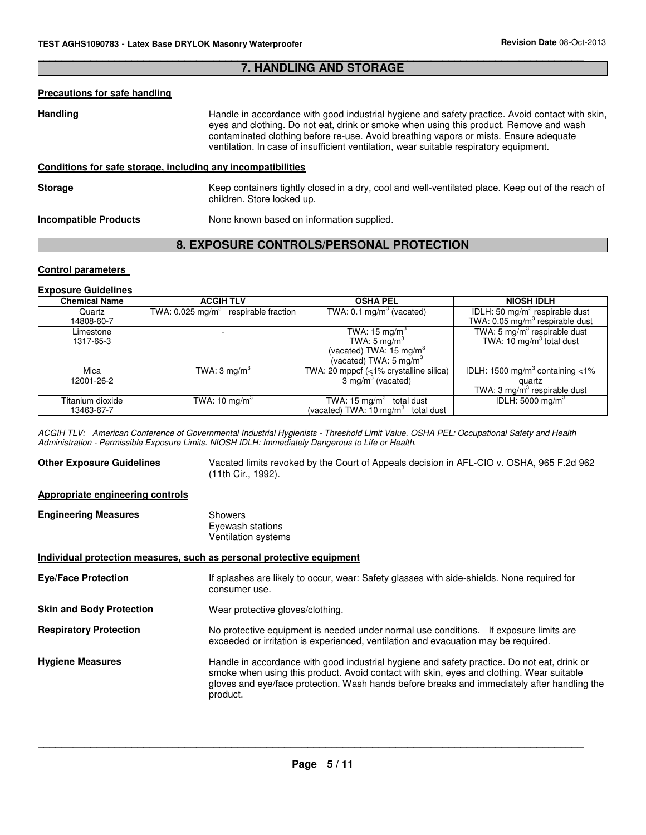#### \_\_\_\_\_\_\_\_\_\_\_\_\_\_\_\_\_\_\_\_\_\_\_\_\_\_\_\_\_\_\_\_\_\_\_\_\_\_\_\_\_\_\_\_\_\_\_\_\_\_\_\_\_\_\_\_\_\_\_\_\_\_\_\_\_\_\_\_\_\_\_\_\_\_\_\_\_\_\_\_\_\_\_\_\_\_\_\_\_\_\_\_\_ **7. HANDLING AND STORAGE**

#### **Precautions for safe handling**

Handling **Handle in accordance with good industrial hygiene and safety practice. Avoid contact with skin,** eyes and clothing. Do not eat, drink or smoke when using this product. Remove and wash contaminated clothing before re-use. Avoid breathing vapors or mists. Ensure adequate ventilation. In case of insufficient ventilation, wear suitable respiratory equipment.

## **Conditions for safe storage, including any incompatibilities**

**Storage** Keep containers tightly closed in a dry, cool and well-ventilated place. Keep out of the reach of children. Store locked up.

**Incompatible Products** None known based on information supplied.

## **8. EXPOSURE CONTROLS/PERSONAL PROTECTION**

#### **Control parameters**

#### **Exposure Guidelines**

| <b>Chemical Name</b> | <b>ACGIH TLV</b>                                       | <b>OSHA PEL</b>                               | <b>NIOSH IDLH</b>                           |
|----------------------|--------------------------------------------------------|-----------------------------------------------|---------------------------------------------|
| Quartz               | TWA: $0.025 \,\mathrm{mag/m^3}$<br>respirable fraction | TWA: $0.1 \text{ mg/m}^3$ (vacated)           | IDLH: 50 mg/m <sup>3</sup> respirable dust  |
| 14808-60-7           |                                                        |                                               | TWA: 0.05 mg/m <sup>3</sup> respirable dust |
| Limestone            |                                                        | TWA: $15 \text{ mg/m}^3$                      | TWA: 5 $mg/m3$ respirable dust              |
| 1317-65-3            |                                                        | TWA: $5 \text{ mg/m}^3$                       | TWA: 10 $mg/m3$ total dust                  |
|                      |                                                        | (vacated) TWA: 15 mg/m <sup>3</sup>           |                                             |
|                      |                                                        | (vacated) TWA: 5 mg/m <sup>3</sup>            |                                             |
| Mica                 | TWA: $3 \text{ mg/m}^3$                                | TWA: 20 mppcf (<1% crystalline silica)        | IDLH: 1500 mg/m <sup>3</sup> containing <1% |
| 12001-26-2           |                                                        | $3 \text{ mg/m}^3$ (vacated)                  | quartz                                      |
|                      |                                                        |                                               | TWA: 3 $mg/m3$ respirable dust              |
| Titanium dioxide     | TWA: 10 mg/m <sup>3</sup>                              | TWA: 15 $mg/m3$ total dust                    | IDLH: 5000 mg/m <sup>3</sup>                |
| 13463-67-7           |                                                        | (vacated) TWA: $10 \text{ mg/m}^3$ total dust |                                             |

 ACGIH TLV: American Conference of Governmental Industrial Hygienists - Threshold Limit Value. OSHA PEL: Occupational Safety and Health Administration - Permissible Exposure Limits. NIOSH IDLH: Immediately Dangerous to Life or Health.

**Other Exposure Guidelines** Vacated limits revoked by the Court of Appeals decision in AFL-CIO v. OSHA, 965 F.2d 962 (11th Cir., 1992).

#### **Appropriate engineering controls**

| <b>Engineering Measures</b> | Showers             |
|-----------------------------|---------------------|
|                             | Eyewash stations    |
|                             | Ventilation systems |

#### **Individual protection measures, such as personal protective equipment**

| <b>Eye/Face Protection</b>      | If splashes are likely to occur, wear: Safety glasses with side-shields. None required for<br>consumer use.                                                                                                                                                                                        |
|---------------------------------|----------------------------------------------------------------------------------------------------------------------------------------------------------------------------------------------------------------------------------------------------------------------------------------------------|
| <b>Skin and Body Protection</b> | Wear protective gloves/clothing.                                                                                                                                                                                                                                                                   |
| <b>Respiratory Protection</b>   | No protective equipment is needed under normal use conditions. If exposure limits are<br>exceeded or irritation is experienced, ventilation and evacuation may be required.                                                                                                                        |
| <b>Hygiene Measures</b>         | Handle in accordance with good industrial hygiene and safety practice. Do not eat, drink or<br>smoke when using this product. Avoid contact with skin, eyes and clothing. Wear suitable<br>gloves and eye/face protection. Wash hands before breaks and immediately after handling the<br>product. |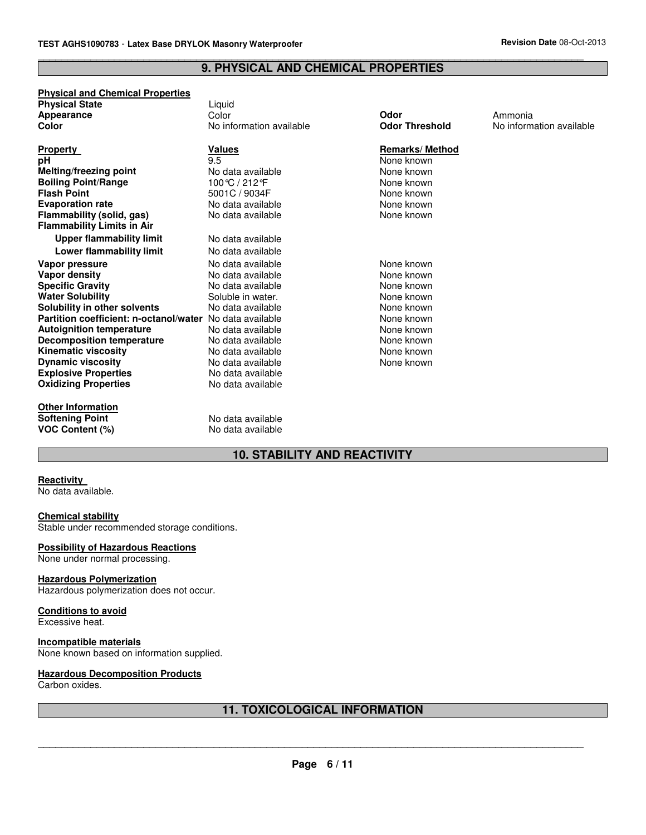#### **9. PHYSICAL AND CHEMICAL PROPERTIES**

\_\_\_\_\_\_\_\_\_\_\_\_\_\_\_\_\_\_\_\_\_\_\_\_\_\_\_\_\_\_\_\_\_\_\_\_\_\_\_\_\_\_\_\_\_\_\_\_\_\_\_\_\_\_\_\_\_\_\_\_\_\_\_\_\_\_\_\_\_\_\_\_\_\_\_\_\_\_\_\_\_\_\_\_\_\_\_\_\_\_\_\_\_

## **Physical and Chemical Properties**

| <b>Physical State</b> | Liauid                   |                       |           |
|-----------------------|--------------------------|-----------------------|-----------|
| Appearance            | Color                    | Odor                  | Ammonia   |
| Color                 | No information available | <b>Odor Threshold</b> | No inform |

| Property                                                 | Values            |
|----------------------------------------------------------|-------------------|
| рH                                                       | 9.5               |
| Melting/freezing point                                   | No data available |
| <b>Boiling Point/Range</b>                               | 100℃ / 212°F      |
| <b>Flash Point</b>                                       | 5001C / 9034F     |
| <b>Evaporation rate</b>                                  | No data available |
| Flammability (solid, gas)                                | No data available |
| <b>Flammability Limits in Air</b>                        |                   |
| <b>Upper flammability limit</b>                          | No data available |
| Lower flammability limit                                 | No data available |
| Vapor pressure                                           | No data available |
| Vapor density                                            | No data available |
| <b>Specific Gravity</b>                                  | No data available |
| <b>Water Solubility</b>                                  | Soluble in water. |
| Solubility in other solvents                             | No data available |
| Partition coefficient: n-octanol/water No data available |                   |
| <b>Autoignition temperature</b>                          | No data available |
| Decomposition temperature                                | No data available |
| <b>Kinematic viscosity</b>                               | No data available |
| <b>Dynamic viscosity</b>                                 | No data available |
| <b>Explosive Properties</b>                              | No data available |
| <b>Oxidizing Properties</b>                              | No data available |
|                                                          |                   |
| <b>Other Information</b>                                 |                   |
| <b>Softening Point</b>                                   | No data available |
| <b>VOC Content (%)</b>                                   | No data available |

**VOC Content (%)** No data available

Liquid<br>Color

**Remarks/ Method** None known **None known None known None known None known None known** 

**None known None known None known None known None known None known None known None known None known None known** 

**Color** No information available **Odor Threshold** No information available

## **10. STABILITY AND REACTIVITY**

#### **Reactivity**

No data available.

#### **Chemical stability**

Stable under recommended storage conditions.

#### **Possibility of Hazardous Reactions**

None under normal processing.

#### **Hazardous Polymerization**

Hazardous polymerization does not occur.

## **Conditions to avoid**

Excessive heat.

## **Incompatible materials**

None known based on information supplied.

#### **Hazardous Decomposition Products**

Carbon oxides.

## **11. TOXICOLOGICAL INFORMATION**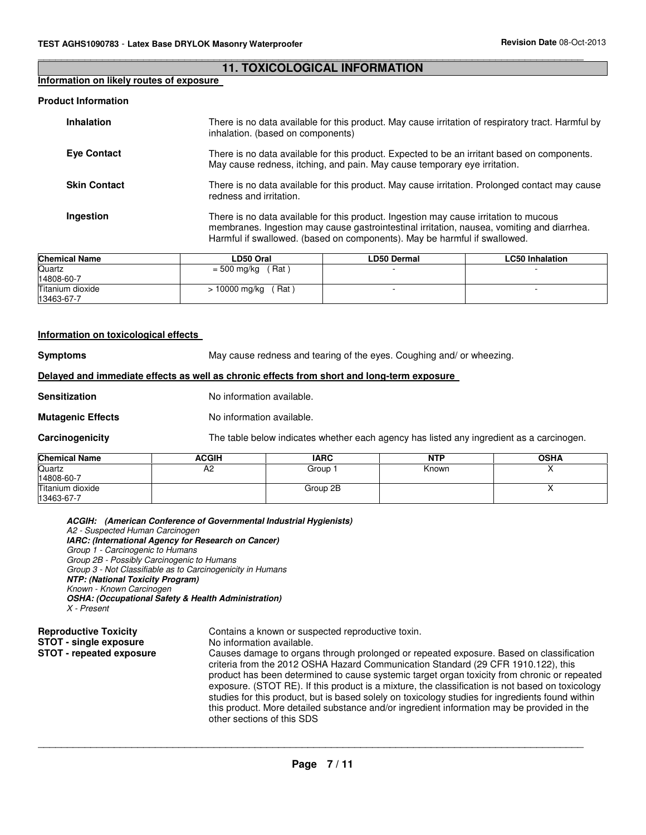#### **11. TOXICOLOGICAL INFORMATION**

\_\_\_\_\_\_\_\_\_\_\_\_\_\_\_\_\_\_\_\_\_\_\_\_\_\_\_\_\_\_\_\_\_\_\_\_\_\_\_\_\_\_\_\_\_\_\_\_\_\_\_\_\_\_\_\_\_\_\_\_\_\_\_\_\_\_\_\_\_\_\_\_\_\_\_\_\_\_\_\_\_\_\_\_\_\_\_\_\_\_\_\_\_

## **Information on likely routes of exposure**

#### **Product Information**

| <b>Inhalation</b>   | There is no data available for this product. May cause irritation of respiratory tract. Harmful by<br>inhalation. (based on components)                                                                                                                          |
|---------------------|------------------------------------------------------------------------------------------------------------------------------------------------------------------------------------------------------------------------------------------------------------------|
| <b>Eve Contact</b>  | There is no data available for this product. Expected to be an irritant based on components.<br>May cause redness, itching, and pain. May cause temporary eye irritation.                                                                                        |
| <b>Skin Contact</b> | There is no data available for this product. May cause irritation. Prolonged contact may cause<br>redness and irritation.                                                                                                                                        |
| Ingestion           | There is no data available for this product. Ingestion may cause irritation to mucous<br>membranes. Ingestion may cause gastrointestinal irritation, nausea, vomiting and diarrhea.<br>Harmful if swallowed. (based on components). May be harmful if swallowed. |

| <b>Chemical Name</b> | LD50 Oral               | <b>LD50 Dermal</b> | <b>LC50 Inhalation</b> |
|----------------------|-------------------------|--------------------|------------------------|
| Quartz               | Rat<br>$= 500$ mg/kg    |                    |                        |
| 14808-60-7           |                         |                    |                        |
| Titanium dioxide     | 10000 mg/kg<br>$'$ Rat) |                    |                        |
| 13463-67-7           |                         |                    |                        |

#### **Information on toxicological effects**

**Symptoms** May cause redness and tearing of the eyes. Coughing and/ or wheezing.

#### **Delayed and immediate effects as well as chronic effects from short and long-term exposure**

**Sensitization** No information available.

**Mutagenic Effects** No information available.

**Carcinogenicity** The table below indicates whether each agency has listed any ingredient as a carcinogen.

| <b>Chemical Name</b> | <b>ACGIH</b> | <b>IARC</b> | <b>NTP</b> | <b>OSHA</b> |
|----------------------|--------------|-------------|------------|-------------|
| Quartz               | A2           | Group∵      | Known      | . .         |
| 14808-60-7           |              |             |            |             |
| Titanium dioxide     |              | Group 2B    |            | . .         |
| 13463-67-7           |              |             |            |             |

 **ACGIH: (American Conference of Governmental Industrial Hygienists)** A2 - Suspected Human Carcinogen  **IARC: (International Agency for Research on Cancer)**  Group 1 - Carcinogenic to Humans Group 2B - Possibly Carcinogenic to Humans Group 3 - Not Classifiable as to Carcinogenicity in Humans  **NTP: (National Toxicity Program)** Known - Known Carcinogen  **OSHA: (Occupational Safety & Health Administration)** X - Present **Reproductive Toxicity Contains a known or suspected reproductive toxin.** 

**STOT - single exposure** No information available. **STOT - repeated exposure** Causes damage to organs through prolonged or repeated exposure. Based on classification criteria from the 2012 OSHA Hazard Communication Standard (29 CFR 1910.122), this product has been determined to cause systemic target organ toxicity from chronic or repeated exposure. (STOT RE). If this product is a mixture, the classification is not based on toxicology studies for this product, but is based solely on toxicology studies for ingredients found within this product. More detailed substance and/or ingredient information may be provided in the other sections of this SDS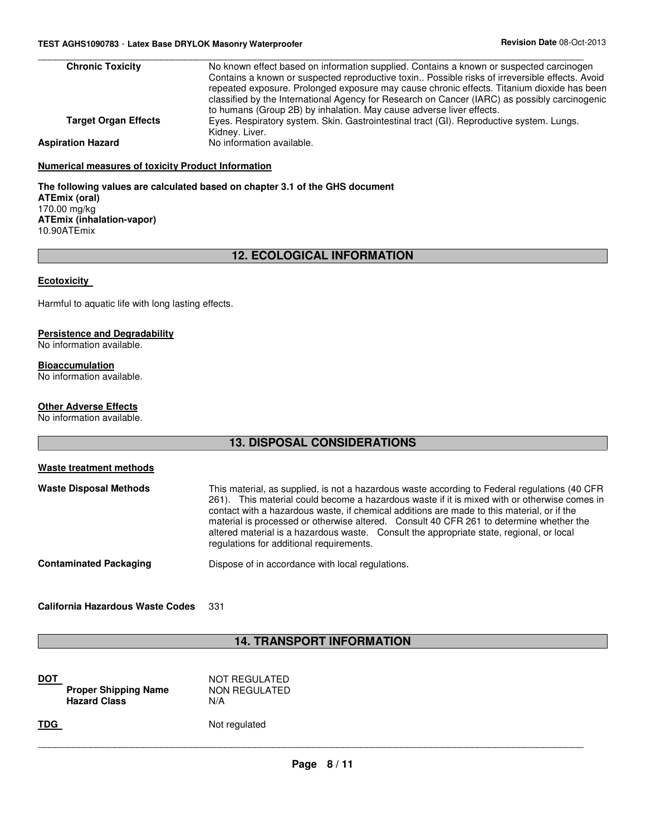| <b>Chronic Toxicity</b>     | No known effect based on information supplied. Contains a known or suspected carcinogen<br>Contains a known or suspected reproductive toxin Possible risks of irreversible effects. Avoid<br>repeated exposure. Prolonged exposure may cause chronic effects. Titanium dioxide has been<br>classified by the International Agency for Research on Cancer (IARC) as possibly carcinogenic |
|-----------------------------|------------------------------------------------------------------------------------------------------------------------------------------------------------------------------------------------------------------------------------------------------------------------------------------------------------------------------------------------------------------------------------------|
|                             | to humans (Group 2B) by inhalation. May cause adverse liver effects.                                                                                                                                                                                                                                                                                                                     |
| <b>Target Organ Effects</b> | Eyes. Respiratory system. Skin. Gastrointestinal tract (GI). Reproductive system. Lungs.<br>Kidney. Liver.                                                                                                                                                                                                                                                                               |
| <b>Aspiration Hazard</b>    | No information available.                                                                                                                                                                                                                                                                                                                                                                |

#### **Numerical measures of toxicity Product Information**

**The following values are calculated based on chapter 3.1 of the GHS document ATEmix (oral)** 170.00 mg/kg **ATEmix (inhalation-vapor)** 10.90ATEmix

## **12. ECOLOGICAL INFORMATION**

#### **Ecotoxicity**

Harmful to aquatic life with long lasting effects.

#### **Persistence and Degradability**

No information available.

### **Bioaccumulation**

No information available.

### **Other Adverse Effects**

No information available.

## **13. DISPOSAL CONSIDERATIONS**

| Waste treatment methods       |                                                                                                                                                                                                                                                                                                                                                                                                                                                                                                                                |
|-------------------------------|--------------------------------------------------------------------------------------------------------------------------------------------------------------------------------------------------------------------------------------------------------------------------------------------------------------------------------------------------------------------------------------------------------------------------------------------------------------------------------------------------------------------------------|
| <b>Waste Disposal Methods</b> | This material, as supplied, is not a hazardous waste according to Federal regulations (40 CFR<br>261). This material could become a hazardous waste if it is mixed with or otherwise comes in<br>contact with a hazardous waste, if chemical additions are made to this material, or if the<br>material is processed or otherwise altered. Consult 40 CFR 261 to determine whether the<br>altered material is a hazardous waste. Consult the appropriate state, regional, or local<br>regulations for additional requirements. |
| <b>Contaminated Packaging</b> | Dispose of in accordance with local regulations.                                                                                                                                                                                                                                                                                                                                                                                                                                                                               |

#### **California Hazardous Waste Codes** 331

## **14. TRANSPORT INFORMATION**

| DOT        | <b>Proper Shipping Name</b><br><b>Hazard Class</b> | NOT REGULATED<br>NON REGULATED<br>N/A |
|------------|----------------------------------------------------|---------------------------------------|
| <b>TDG</b> |                                                    | Not regulated                         |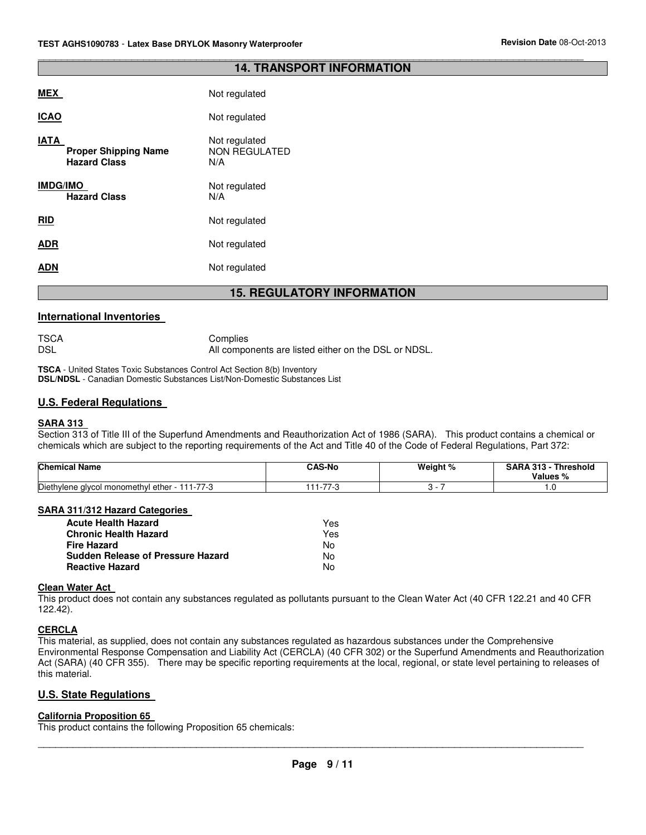#### **14. TRANSPORT INFORMATION**

\_\_\_\_\_\_\_\_\_\_\_\_\_\_\_\_\_\_\_\_\_\_\_\_\_\_\_\_\_\_\_\_\_\_\_\_\_\_\_\_\_\_\_\_\_\_\_\_\_\_\_\_\_\_\_\_\_\_\_\_\_\_\_\_\_\_\_\_\_\_\_\_\_\_\_\_\_\_\_\_\_\_\_\_\_\_\_\_\_\_\_\_\_

|                                                            | <b>DEAII</b><br>4 E .                        |
|------------------------------------------------------------|----------------------------------------------|
| ADN                                                        | Not regulated                                |
| ADR                                                        | Not regulated                                |
| <b>RID</b>                                                 | Not regulated                                |
| <b>IMDG/IMO</b><br><b>Hazard Class</b>                     | Not regulated<br>N/A                         |
| IATA<br><b>Proper Shipping Name</b><br><b>Hazard Class</b> | Not regulated<br><b>NON REGULATED</b><br>N/A |
| <b>ICAO</b>                                                | Not regulated                                |
| MEX                                                        | Not regulated                                |

## **15. REGULATORY INFORMATION**

#### **International Inventories**

TSCA Complies DSL **All components are listed either on the DSL or NDSL**.

**TSCA** - United States Toxic Substances Control Act Section 8(b) Inventory **DSL/NDSL** - Canadian Domestic Substances List/Non-Domestic Substances List

#### **U.S. Federal Regulations**

#### **SARA 313**

Section 313 of Title III of the Superfund Amendments and Reauthorization Act of 1986 (SARA). This product contains a chemical or chemicals which are subject to the reporting requirements of the Act and Title 40 of the Code of Federal Regulations, Part 372:

| <b>Chemical Name</b>                                                    | <b>CAS-No</b> | Weight % | `AD.<br>0.40<br>Threshold<br>Values<br>70 |
|-------------------------------------------------------------------------|---------------|----------|-------------------------------------------|
| <b>Diethy</b><br>77.0<br>.<br>ether<br>l monomethvl<br>lene alvcol<br>. | --            |          | . .                                       |

## **SARA 311/312 Hazard Categories**

| <b>Acute Health Hazard</b>               | Yes. |
|------------------------------------------|------|
| <b>Chronic Health Hazard</b>             | Yes  |
| <b>Fire Hazard</b>                       | No   |
| <b>Sudden Release of Pressure Hazard</b> | N٥   |
| <b>Reactive Hazard</b>                   | N٥   |

#### **Clean Water Act**

This product does not contain any substances regulated as pollutants pursuant to the Clean Water Act (40 CFR 122.21 and 40 CFR 122.42).

#### **CERCLA**

This material, as supplied, does not contain any substances regulated as hazardous substances under the Comprehensive Environmental Response Compensation and Liability Act (CERCLA) (40 CFR 302) or the Superfund Amendments and Reauthorization Act (SARA) (40 CFR 355). There may be specific reporting requirements at the local, regional, or state level pertaining to releases of this material.

#### **U.S. State Regulations**

#### **California Proposition 65**

This product contains the following Proposition 65 chemicals: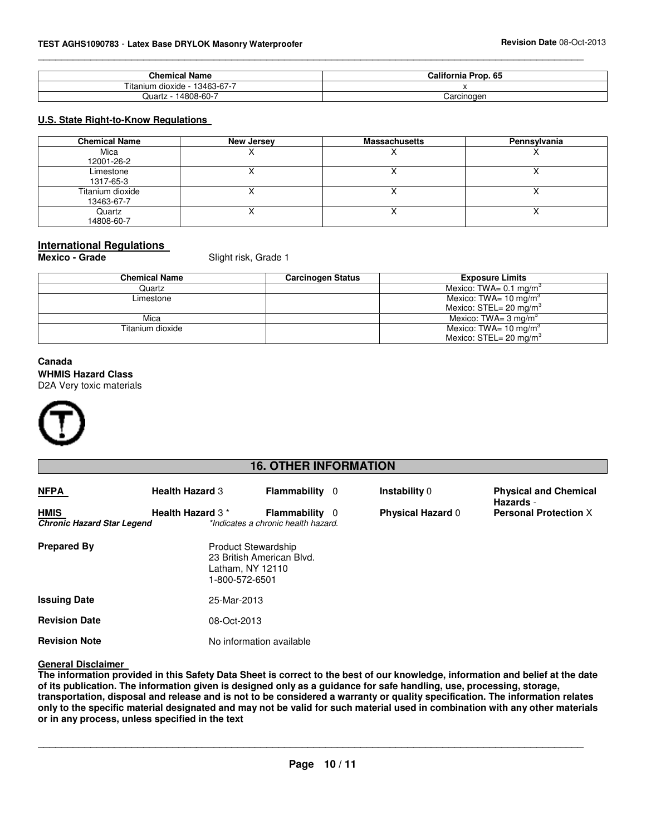| <b>Chemical Name</b>                                             | California P<br>Prop. 65 |
|------------------------------------------------------------------|--------------------------|
| $\sim$ $\sim$ $\sim$<br>l 3463-67-7<br>dioxide -<br>ıtan<br>າເມm |                          |
| 4808-60-<br>Juart <sup>-</sup><br>L                              | Carcinogen               |

\_\_\_\_\_\_\_\_\_\_\_\_\_\_\_\_\_\_\_\_\_\_\_\_\_\_\_\_\_\_\_\_\_\_\_\_\_\_\_\_\_\_\_\_\_\_\_\_\_\_\_\_\_\_\_\_\_\_\_\_\_\_\_\_\_\_\_\_\_\_\_\_\_\_\_\_\_\_\_\_\_\_\_\_\_\_\_\_\_\_\_\_\_

## **U.S. State Right-to-Know Regulations**

| <b>Chemical Name</b>           | New Jersey | <b>Massachusetts</b>     | Pennsylvania |
|--------------------------------|------------|--------------------------|--------------|
| Mica<br>12001-26-2             |            | $\overline{\phantom{a}}$ |              |
| Limestone<br>1317-65-3         |            |                          |              |
| Titanium dioxide<br>13463-67-7 |            |                          |              |
| Quartz<br>14808-60-7           |            |                          |              |

## **International Regulations**

**Mexico - Grade Slight risk, Grade 1** 

| Chemical Name    | <b>Carcinogen Status</b> | <b>Exposure Limits</b>                |
|------------------|--------------------------|---------------------------------------|
| Quartz           |                          | Mexico: TWA= $0.1 \text{ mg/m}^3$     |
| Limestone        |                          | Mexico: TWA= 10 mg/m <sup>3</sup>     |
|                  |                          | Mexico: $STEL = 20$ mg/m <sup>3</sup> |
| Mica             |                          | Mexico: TWA= $3 \text{ mg/m}^3$       |
| Titanium dioxide |                          | Mexico: TWA= 10 mg/m <sup>3</sup>     |
|                  |                          | Mexico: $STEL = 20$ mg/m <sup>3</sup> |

## **Canada WHMIS Hazard Class** D2A Very toxic materials



## **16. OTHER INFORMATION**

| <b>NFPA</b>                                      | <b>Health Hazard 3</b>                                           | <b>Flammability</b> 0                                        | Instability 0            | <b>Physical and Chemical</b><br>Hazards - |
|--------------------------------------------------|------------------------------------------------------------------|--------------------------------------------------------------|--------------------------|-------------------------------------------|
| <b>HMIS</b><br><b>Chronic Hazard Star Legend</b> | Health Hazard 3*                                                 | <b>Flammability</b> 0<br>*Indicates a chronic health hazard. | <b>Physical Hazard 0</b> | <b>Personal Protection X</b>              |
| <b>Prepared By</b>                               | <b>Product Stewardship</b><br>Latham, NY 12110<br>1-800-572-6501 | 23 British American Blvd.                                    |                          |                                           |
| <b>Issuing Date</b>                              | 25-Mar-2013                                                      |                                                              |                          |                                           |
| <b>Revision Date</b>                             | 08-Oct-2013                                                      |                                                              |                          |                                           |
| <b>Revision Note</b>                             |                                                                  | No information available                                     |                          |                                           |

#### **General Disclaimer**

**The information provided in this Safety Data Sheet is correct to the best of our knowledge, information and belief at the date of its publication. The information given is designed only as a guidance for safe handling, use, processing, storage, transportation, disposal and release and is not to be considered a warranty or quality specification. The information relates only to the specific material designated and may not be valid for such material used in combination with any other materials or in any process, unless specified in the text**